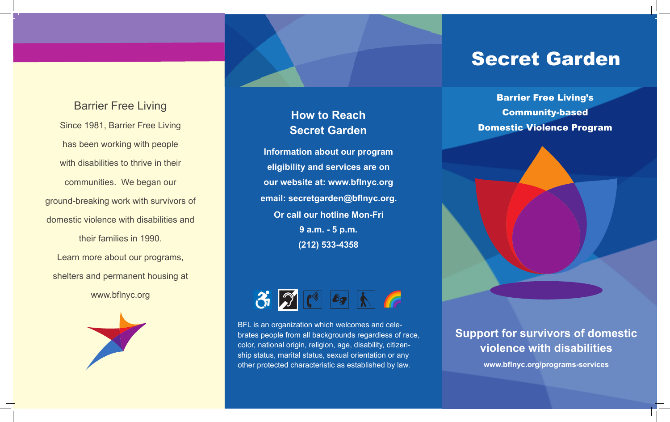# Barrier Free Living

Since 1981, Barrier Free Living has been working with people with disabilities to thrive in their communities. We began our ground-breaking work with survivors of domestic violence with disabilities and their families in 1990. Learn more about our programs, shelters and permanent housing at

www.bflnyc.org



#### **How to Reach Secret Garden**

**Information about our program eligibility and services are on our website at: www.bflnyc.org email: secretgarden@bflnyc.org. Or call our hotline Mon-Fri 9 a.m. - 5 p.m. (212) 533-4358**

# 3 2 <sup>3</sup> 69 Å 6

BFL is an organization which welcomes and celebrates people from all backgrounds regardless of race, color, national origin, religion, age, disability, citizenship status, marital status, sexual orientation or any other protected characteristic as established by law.

# Secret Garden

Barrier Free Living's Community-based Domestic Violence Program

**Support for survivors of domestic violence with disabilities www.bflnyc.org/programs-services**